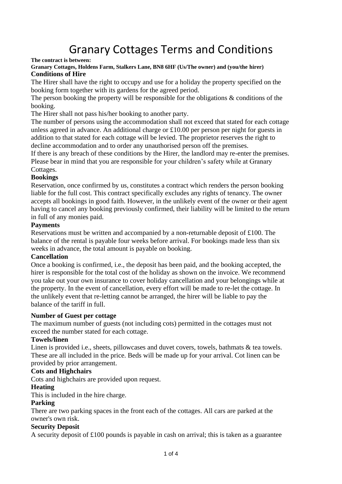# Granary Cottages Terms and Conditions

**The contract is between:**

#### **Granary Cottages, Holdens Farm, Stalkers Lane, BN8 6HF (Us/The owner) and (you/the hirer) Conditions of Hire**

The Hirer shall have the right to occupy and use for a holiday the property specified on the booking form together with its gardens for the agreed period.

The person booking the property will be responsible for the obligations & conditions of the booking.

The Hirer shall not pass his/her booking to another party.

The number of persons using the accommodation shall not exceed that stated for each cottage unless agreed in advance. An additional charge or £10.00 per person per night for guests in addition to that stated for each cottage will be levied. The proprietor reserves the right to decline accommodation and to order any unauthorised person off the premises.

If there is any breach of these conditions by the Hirer, the landlord may re-enter the premises. Please bear in mind that you are responsible for your children's safety while at Granary Cottages.

# **Bookings**

Reservation, once confirmed by us, constitutes a contract which renders the person booking liable for the full cost. This contract specifically excludes any rights of tenancy. The owner accepts all bookings in good faith. However, in the unlikely event of the owner or their agent having to cancel any booking previously confirmed, their liability will be limited to the return in full of any monies paid.

# **Payments**

Reservations must be written and accompanied by a non-returnable deposit of £100. The balance of the rental is payable four weeks before arrival. For bookings made less than six weeks in advance, the total amount is payable on booking.

# **Cancellation**

Once a booking is confirmed, i.e., the deposit has been paid, and the booking accepted, the hirer is responsible for the total cost of the holiday as shown on the invoice. We recommend you take out your own insurance to cover holiday cancellation and your belongings while at the property. In the event of cancellation, every effort will be made to re-let the cottage. In the unlikely event that re-letting cannot be arranged, the hirer will be liable to pay the balance of the tariff in full.

# **Number of Guest per cottage**

The maximum number of guests (not including cots) permitted in the cottages must not exceed the number stated for each cottage.

# **Towels/linen**

Linen is provided i.e., sheets, pillowcases and duvet covers, towels, bathmats & tea towels. These are all included in the price. Beds will be made up for your arrival. Cot linen can be provided by prior arrangement.

# **Cots and Highchairs**

Cots and highchairs are provided upon request.

# **Heating**

This is included in the hire charge.

#### **Parking**

There are two parking spaces in the front each of the cottages. All cars are parked at the owner's own risk.

#### **Security Deposit**

A security deposit of £100 pounds is payable in cash on arrival; this is taken as a guarantee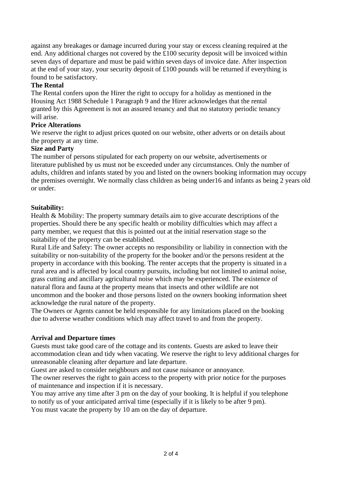against any breakages or damage incurred during your stay or excess cleaning required at the end. Any additional charges not covered by the £100 security deposit will be invoiced within seven days of departure and must be paid within seven days of invoice date. After inspection at the end of your stay, your security deposit of £100 pounds will be returned if everything is found to be satisfactory.

# **The Rental**

The Rental confers upon the Hirer the right to occupy for a holiday as mentioned in the Housing Act 1988 Schedule 1 Paragraph 9 and the Hirer acknowledges that the rental granted by this Agreement is not an assured tenancy and that no statutory periodic tenancy will arise.

# **Price Alterations**

We reserve the right to adjust prices quoted on our website, other adverts or on details about the property at any time.

# **Size and Party**

The number of persons stipulated for each property on our website, advertisements or literature published by us must not be exceeded under any circumstances. Only the number of adults, children and infants stated by you and listed on the owners booking information may occupy the premises overnight. We normally class children as being under16 and infants as being 2 years old or under.

# **Suitability:**

Health & Mobility: The property summary details aim to give accurate descriptions of the properties. Should there be any specific health or mobility difficulties which may affect a party member, we request that this is pointed out at the initial reservation stage so the suitability of the property can be established.

Rural Life and Safety: The owner accepts no responsibility or liability in connection with the suitability or non-suitability of the property for the booker and/or the persons resident at the property in accordance with this booking. The renter accepts that the property is situated in a rural area and is affected by local country pursuits, including but not limited to animal noise, grass cutting and ancillary agricultural noise which may be experienced. The existence of natural flora and fauna at the property means that insects and other wildlife are not uncommon and the booker and those persons listed on the owners booking information sheet acknowledge the rural nature of the property.

The Owners or Agents cannot be held responsible for any limitations placed on the booking due to adverse weather conditions which may affect travel to and from the property.

# **Arrival and Departure times**

Guests must take good care of the cottage and its contents. Guests are asked to leave their accommodation clean and tidy when vacating. We reserve the right to levy additional charges for unreasonable cleaning after departure and late departure.

Guest are asked to consider neighbours and not cause nuisance or annoyance.

The owner reserves the right to gain access to the property with prior notice for the purposes of maintenance and inspection if it is necessary.

You may arrive any time after 3 pm on the day of your booking. It is helpful if you telephone to notify us of your anticipated arrival time (especially if it is likely to be after 9 pm). You must vacate the property by 10 am on the day of departure.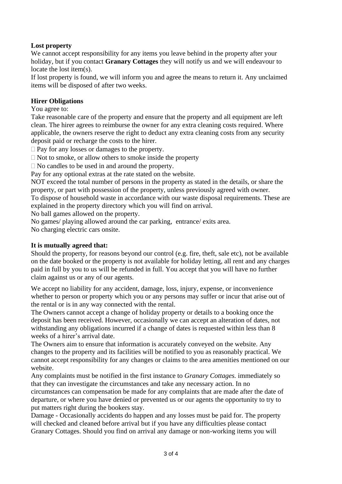# **Lost property**

We cannot accept responsibility for any items you leave behind in the property after your holiday, but if you contact **Granary Cottages** they will notify us and we will endeavour to locate the lost item(s).

If lost property is found, we will inform you and agree the means to return it. Any unclaimed items will be disposed of after two weeks.

# **Hirer Obligations**

You agree to:

Take reasonable care of the property and ensure that the property and all equipment are left clean. The hirer agrees to reimburse the owner for any extra cleaning costs required. Where applicable, the owners reserve the right to deduct any extra cleaning costs from any security deposit paid or recharge the costs to the hirer.

 $\Box$  Pay for any losses or damages to the property.

 $\Box$  Not to smoke, or allow others to smoke inside the property

 $\Box$  No candles to be used in and around the property.

Pay for any optional extras at the rate stated on the website.

NOT exceed the total number of persons in the property as stated in the details, or share the property, or part with possession of the property, unless previously agreed with owner. To dispose of household waste in accordance with our waste disposal requirements. These are explained in the property directory which you will find on arrival.

No ball games allowed on the property.

No games/ playing allowed around the car parking, entrance/ exits area.

No charging electric cars onsite.

# **It is mutually agreed that:**

Should the property, for reasons beyond our control (e.g. fire, theft, sale etc), not be available on the date booked or the property is not available for holiday letting, all rent and any charges paid in full by you to us will be refunded in full. You accept that you will have no further claim against us or any of our agents.

We accept no liability for any accident, damage, loss, injury, expense, or inconvenience whether to person or property which you or any persons may suffer or incur that arise out of the rental or is in any way connected with the rental.

The Owners cannot accept a change of holiday property or details to a booking once the deposit has been received. However, occasionally we can accept an alteration of dates, not withstanding any obligations incurred if a change of dates is requested within less than 8 weeks of a hirer's arrival date.

The Owners aim to ensure that information is accurately conveyed on the website. Any changes to the property and its facilities will be notified to you as reasonably practical. We cannot accept responsibility for any changes or claims to the area amenities mentioned on our website.

Any complaints must be notified in the first instance to *Granary Cottages.* immediately so that they can investigate the circumstances and take any necessary action. In no circumstances can compensation be made for any complaints that are made after the date of departure, or where you have denied or prevented us or our agents the opportunity to try to put matters right during the bookers stay.

Damage - Occasionally accidents do happen and any losses must be paid for. The property will checked and cleaned before arrival but if you have any difficulties please contact Granary Cottages. Should you find on arrival any damage or non-working items you will